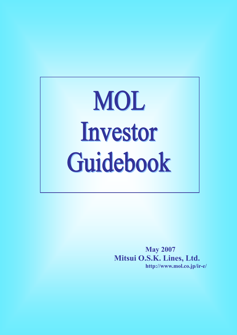# MOL Investor Guidebook

**May 2007 Mitsui O.S.K. Lines, Ltd. http://www.mol.co.jp/ir-e/**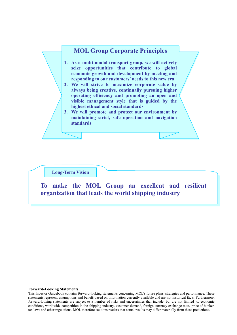

#### **Long-Term Vision**

**To make the MOL Group an excellent and resilient organization that leads the world shipping industry** 

#### **Forward-Looking Statements**

This Investor Guidebook contains forward-looking statements concerning MOL's future plans, strategies and performance. These statements represent assumptions and beliefs based on information currently available and are not historical facts. Furthermore, forward-looking statements are subject to a number of risks and uncertainties that include, but are not limited to, economic conditions, worldwide competition in the shipping industry, customer demand, foreign currency exchange rates, price of bunker, tax laws and other regulations. MOL therefore cautions readers that actual results may differ materially from these predictions.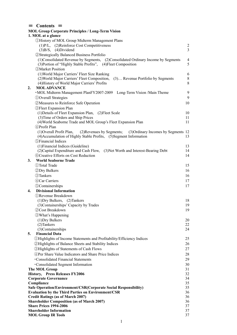### = **Contents** =

|    | <b>MOL Group Corporate Principles / Long-Term Vision</b>                                     |                |
|----|----------------------------------------------------------------------------------------------|----------------|
|    | 1. MOL at a glance                                                                           |                |
|    | <b><i>OHistory of MOL Group Midterm Management Plans</i></b>                                 |                |
|    | (1)P/L, (2)Reinforce Cost Competitiveness                                                    | $\overline{2}$ |
|    | $(3)B/S$ , $(4)Dividend$                                                                     | $\overline{3}$ |
|    | <b>2 Strategically Balanced Business Portfolio</b>                                           |                |
|    | (1)Consolidated Revenue by Segments, (2)Consolidated Ordinary Income by Segments             | 4              |
|    | (3) Portion of "Highly Stable Profits",<br>(4) Fleet Composition                             | 5              |
|    | <b>3</b> Market Position                                                                     |                |
|    | (1) World Major Carriers' Fleet Size Ranking                                                 | 6              |
|    | (2) World Major Carriers' Fleet Composition,<br>(3) Revenue Portfolio by Segments            | $8\,$          |
|    | (4) History of World Major Carriers' Profits                                                 | 8              |
| 2. | <b>MOLADVANCE</b>                                                                            |                |
|    | • MOL Midterm Management PlanFY2007-2009 Long-Term Vision / Main Theme                       | 9              |
|    | <b><i><u>DOverall Strategies</u></i></b>                                                     | 9              |
|    | 2 Measures to Reinforce Safe Operation                                                       | 10             |
|    | <b>3 Fleet Expansion Plan</b>                                                                |                |
|    | (1) Details of Fleet Expansion Plan,<br>(2) Fleet Scale                                      | 10             |
|    | (3) Time of Orders and Ship Prices                                                           | 11             |
|    | (4) World Seaborne Trade and MOL Group's Fleet Expansion Plan                                | 11             |
|    | 4)Profit Plan                                                                                |                |
|    | (1) Overall Profit Plan,<br>(2) Revenues by Segments;<br>(3) Ordinary Incomes by Segments 12 | 13             |
|    | (4) Accumulation of Highly Stable Profits, (5) Segment Information<br>5) Financial Indices   |                |
|    | (1) Financial Indices (Guideline)                                                            | 13             |
|    | (2) Capital Expenditure and Cash Flow,<br>(3) Net Worth and Interest-Bearing Debt            | 14             |
|    | <b>6 Creative Efforts on Cost Reduction</b>                                                  | 14             |
| 3. | <b>World Seaborne Trade</b>                                                                  |                |
|    | <b>1</b> Trade                                                                               | 15             |
|    | <b>2Dry Bulkers</b>                                                                          | 16             |
|    | 3)Tankers                                                                                    | 16             |
|    | <b>4 Car Carriers</b>                                                                        | 17             |
|    | <b>5</b> Containerships                                                                      |                |
| 4. | <b>Divisional Information</b>                                                                | 17             |
|    | (1) Revenue Breakdown                                                                        |                |
|    | (1) Dry Bulkers, (2) Tankers                                                                 | 18             |
|    | (3) Containerships' Capacity by Trades                                                       | 19             |
|    | 2 Cost Breakdown                                                                             | 19             |
|    | <b>3 What's Happening</b>                                                                    |                |
|    | (1) Dry Bulkers                                                                              | 20             |
|    | (2) Tankers                                                                                  | 22             |
|    | (3)Containerships                                                                            | 24             |
| 5. | <b>Financial Data</b>                                                                        |                |
|    | <b>I</b> Highlights of Income Statements and Profitability/Efficiency Indices                | 25             |
|    | <b>2 Highlights of Balance Sheets and Stability Indices</b>                                  | 26             |
|    | <b>3Highlights of Statements of Cash Flows</b>                                               | 27             |
|    | 4) Per Share Value Indicators and Share Price Indices                                        | 28             |
|    | <b>Consolidated Financial Statements</b>                                                     | 29             |
|    | <b>Consolidated Segment Information</b>                                                      | 30             |
|    | The MOL Group                                                                                | 31             |
|    | History, Press Releases FY2006                                                               | 32             |
|    | <b>Corporate Governance</b>                                                                  | 34             |
|    | Compliance                                                                                   | 35             |
|    | Safe Operation/Environment/CSR(Corporate Social Responsibility)                              | 35             |
|    | <b>Evaluation by the Third Parties on Environment/CSR</b>                                    | 36             |
|    | <b>Credit Ratings (as of March 2007)</b>                                                     | 36             |
|    | <b>Shareholder Composition (as of March 2007)</b><br><b>Share Prices 1994-2006</b>           | 36<br>37       |
|    | <b>Shareholder Information</b>                                                               | 37             |
|    | <b>MOL Group IR Tools</b>                                                                    | 37             |
|    |                                                                                              |                |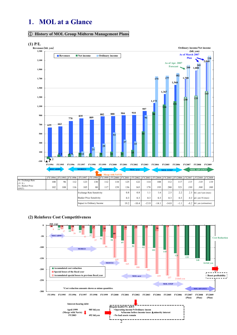## **1**.**MOL at a Glance**

#### ① **History of MOL Group Midterm Management Plans**

(\$/KT)



**(2) Reinforce Cost Competitiveness** 



mpact to Ordinary Income 19.2 -10.4 -13.9 -14.1 -14.8 -1.1 -8.2 bil. yen (estimation)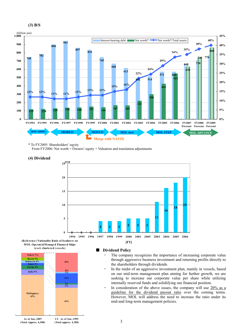



\* To FY2005: Shareholders' eqyity

From FY2006: Net worth = Owners' equity + Valuation and translation adjustments







#### ■ **Dividend Policy**

- The company recognizes the importance of increasing corporate value through aggressive business investment and returning profits directly to the shareholders through dividends.
- ・ In the midst of an aggressive investment plan, mainly in vessels, based on our mid-term management plan aiming for further growth, we are seeking to increase our corporate value per share while utilizing internally reserved funds and solidifying our financial position.
- In consideration of the above issues, the company will use  $20\%$  as a guideline for the dividend payout ratio over the coming terms. However, MOL will address the need to increase the ratio under its mid-and long-term management policies.

**Cf. As of Jan.,1995 (Total approx. 4,300)**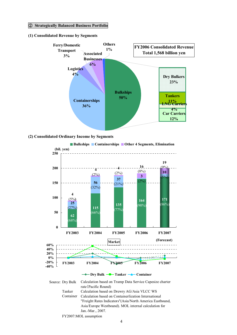#### ② **Strategically Balanced Business Portfolio**

#### **(1) Consolidated Revenue by Segments**



#### **(2) Consolidated Ordinary Income by Segments**



FY2007:MOL assumption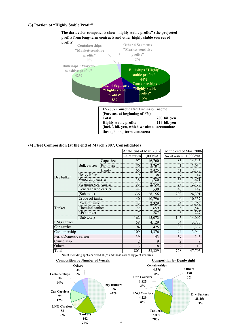#### **(3) Portion of "Highly Stable Profit"**



**The dark color components show "highly stable profits" (the projected profits from long-term contracts and other highly stable sources of**

#### **(4) Fleet Composition (at the end of March 2007, Consolidated)**

|                        |                       |                       |                            | At the end of Mar. 2007 | At the end of Mar. 2006    |        |  |
|------------------------|-----------------------|-----------------------|----------------------------|-------------------------|----------------------------|--------|--|
|                        |                       |                       | No. of vessels $1,000$ dwt |                         | No. of vessels $1,000$ dwt |        |  |
|                        |                       | Cape size             | 97                         | 16,760                  | 85                         | 14,545 |  |
|                        | Bulk carrier          | Panamax               | 50                         | 3,767                   |                            | 3,064  |  |
|                        |                       | Handy                 | 65                         | 2,425                   |                            | 2,127  |  |
| Dry bulker             | Heavy lifter          |                       |                            | 138                     |                            |        |  |
|                        |                       | Wood chip carrier     | $\overline{38}$            | 1,780                   | 36                         | 1,671  |  |
|                        |                       | Steaming coal carrier | $\frac{33}{ }$             | 2,756                   | 29                         | 2,420  |  |
|                        | General cargo carrier |                       | 44                         | 530                     | 40                         | 449    |  |
|                        | (Sub total)           |                       | 336                        | 28,156                  | 299                        | 24,391 |  |
|                        | Crude oil tanker      |                       | 40                         | 10,796                  | 40                         | 10,557 |  |
|                        | Product tanker        |                       | 43                         | 2,329                   | 34                         | 1,765  |  |
| Tanker                 | Chemical tanker       |                       | 72                         | 1,659                   | 65                         | 1,543  |  |
|                        | <b>LPG</b> tanker     |                       |                            | 287                     | 6                          | 227    |  |
|                        | (Sub total)           |                       | 162                        | 15,072                  | 145                        | 14,092 |  |
| LNG carrier            |                       |                       | 58                         | 4,129                   | 54                         | 3,737  |  |
| Car carrier            |                       |                       | 94                         | 1,425                   | 93                         | 1,377  |  |
| Containership          |                       |                       | 109                        | 4,376                   | 94                         | 3,944  |  |
| Ferry/Domestic carrier |                       |                       | 39                         | 143                     | 39                         | 143    |  |
| Cruise ship            |                       |                       | $\mathfrak{D}$             | 9                       | $\mathfrak{D}$             | 9      |  |
| Others                 |                       |                       | 3                          | 18                      | $\overline{2}$             | 13     |  |
| Total                  |                       |                       | 803                        | 53,329                  | 728                        | 47,705 |  |

Note) Including spot-chartered ships and those owned by joint ventures.

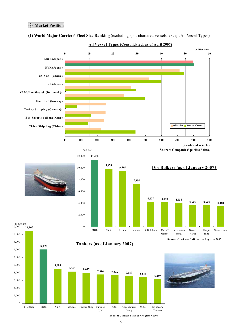#### ③ **Market Position**



#### **(1) World Major Carriersí Fleet Size Ranking** (excluding spot-chartered vessels, except All Vessel Types)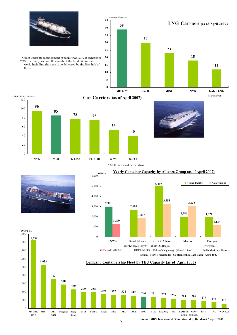

\*Fleet under its management or more than 50% of ownership \*\*MOL already secured 80 vessels of the total 350 in the world including the ones to be delivered by the first half of 2010.





#### **Car Carriers (as of April 2007)**

**40**

**\* MO L internal calculation**



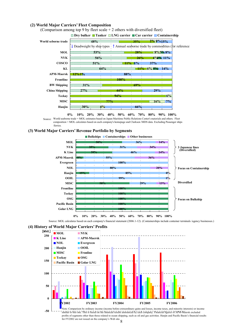#### **(2) World Major Carriersí Fleet Composition**



(Comparison among top 9 by fleet scale + 2 others with diversified fleet)

#### **(3) World Major Carriersí Revenue Portfolio by Segments**



Source: MOL calculates based on each company's financial statement (2006.1-12). (Containerships include container terminals /agency businesses.)





for FY2002 are not issued on the company's Web site.  $8$ similar to this one. This is based on the financial results announced by each company. Financial figures of APM-Maersk excluded profits of segments other than those related to ocean shipping, such as oil and gas activities. Hanjin and Pacific Basin's financial results

Source: World seaborne trade = MOL estimates based on Japan Maritime Public Relations Center's materials and others. Fleet composition = MOL calculates based on each company's homepage and Clarkson /MDS data. Excluding Passenger ships /ferries.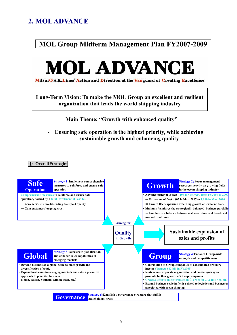## **2. MOL ADVANCE**

# **MOL Group Midterm Management Plan FY2007-2009**



Mitsui O.S.K. Lines' Action and Direction at the Vanguard of Creating Excellence

**Long-Term Vision: To make the MOL Group an excellent and resilient organization that leads the world shipping industry** 

**Main Theme: "Growth with enhanced quality"** 

## - **Ensuring safe operation is the highest priority, while achieving sustainable growth and enhancing quality**

① **Overall Strategies** 

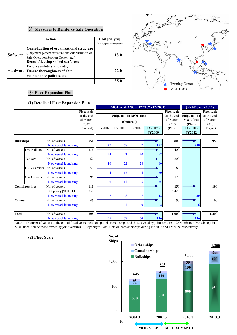#### ② **Measures to Reinforce Safe Operation**

|          | Action                                          | Cost [bil. yen]             |
|----------|-------------------------------------------------|-----------------------------|
|          |                                                 | (incl. Capital Expenditure) |
|          | Consolidation of organizational structure       |                             |
| Software | (Ship management structure and establishment of | 13.0                        |
|          | Safe Operation Support Center, etc.)            |                             |
|          | Recruit/develop skilled seafarers               |                             |
|          | Enforce safety standards,                       |                             |
|          | Hardware Ensure thoroughness of ship            | 22.0                        |
|          | maintenance policies, etc.                      |                             |
|          |                                                 |                             |



#### ③ **Fleet Expansion Plan**

#### **(1) Details of Fleet Expansion Plan**

|                  |                |                             |             |        |                                       |           | MOL ADVANCE (FY2007 - FY2009) |             | (FY2010 - FY2012) |             |
|------------------|----------------|-----------------------------|-------------|--------|---------------------------------------|-----------|-------------------------------|-------------|-------------------|-------------|
|                  |                |                             | Fleet scale |        |                                       |           |                               | Fleet scale |                   | Fleet scale |
|                  |                |                             | at the end  |        | Ships to join MOL fleet<br>at the end |           |                               |             |                   | at the end  |
|                  |                |                             | of March    |        |                                       | (Ordered) |                               | of March    | <b>MOL</b> fleet  | of March    |
|                  |                |                             | 2007        |        |                                       |           |                               | 2010        | (Plan)            | 2013        |
|                  |                |                             | (Forecast)  | FY2007 | FY2008                                | FY2009    | FY2007-                       | (Plan)      | FY2010-           | (Target)    |
|                  |                |                             |             |        |                                       |           | <b>FY2009</b>                 |             | <b>FY2012</b>     |             |
|                  |                |                             |             |        |                                       |           |                               |             |                   |             |
| <b>Bulkships</b> |                | No. of vessels              | 650         |        |                                       |           |                               | 800         |                   | 950         |
|                  |                | New vessel launching        |             | 47     | 68                                    | 57        | 172                           |             | 200               |             |
|                  | Dry Bulkers    | No. of vessels              | 336         |        |                                       |           |                               | 400         |                   |             |
|                  |                | New vessel launching        |             | 24     | 23                                    | 20        | 67                            |             |                   |             |
|                  | Tankers        | No. of vessels              | 160         |        |                                       |           |                               | 200         |                   |             |
|                  |                | New vessel launching        |             | 10     | 22                                    | 28        | 60                            |             |                   |             |
|                  |                | LNG Carriers No. of vessels | 59          |        |                                       |           |                               | 80          |                   |             |
|                  |                | New vessel launching        |             |        | 12                                    |           | 20                            |             |                   |             |
|                  | Car Carriers   | No. of vessels              | 95          |        |                                       |           |                               | 120         |                   |             |
|                  |                | New vessel launching        |             |        | 11                                    |           | 25                            |             |                   |             |
|                  | Containerships | No. of vessels              | 110         |        |                                       |           |                               | 150         |                   | 190         |
|                  |                | Capacity ['000 TEU]         | 3,830       |        |                                       |           |                               | 6,420       |                   |             |
|                  |                | New vessel launching        |             |        |                                       |           |                               |             | 30                |             |
| <b>Others</b>    |                | No. of vessels              | 45          |        |                                       |           |                               | 50          |                   | 60          |
|                  |                | New vessel launching        |             |        |                                       |           |                               |             |                   |             |
|                  |                |                             |             |        |                                       |           |                               |             |                   |             |
| <b>Total</b>     |                | No. of vessels              | 805         |        |                                       |           |                               | 1,000       |                   | 1,200       |
|                  |                | New vessel launching        |             | 55     | 77                                    | 64        | 196                           |             | 236               |             |

Notes: 1)Number of vessels at the end of fiscal years includes spot-chartered ships and those owned by joint ventures. 2) Numbers of vessels to join MOL fleet include those owned by joint ventures. 3)Capacity = Total slots on containerships during FY2006 and FY2009, respectively.

**(2) Fleet Scale** 

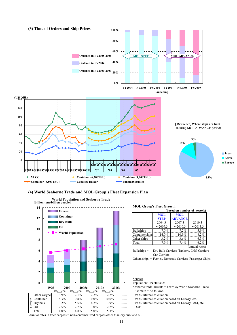

#### **(4) World Seaborne Trade and MOL Groupís Fleet Expansion Plan**



#### **MOL Group's Fleet Growth**

|                  |               | (based on number of vessels) |                |
|------------------|---------------|------------------------------|----------------|
|                  | <b>MOL</b>    | <b>MOL</b>                   |                |
|                  | <b>STEP</b>   | <b>ADVANCE</b>               |                |
|                  | 2004.3        | 2007.3                       | 2010.3         |
|                  | $\sim$ 2007.3 | $\sim$ 2010.3                | $\sim$ 2013.3  |
| <b>Bulkships</b> | 7.0%          | 7.2%                         | 5.9%           |
| Containerships   | 14.0%         | 10.9%                        | 8.2%           |
| Other ships      | $3.2\%$       | 3.6%                         | $6.3\%$        |
| Total            | 7.9%          | 7.4%                         | 6.2%           |
|                  |               |                              | (annual rates) |

Bulkships = Dry Bulk Carriers, Tankers, LNG Carriers Car Carriers

Others ships = Ferries, Domestic Carriers, Passenger Ships

## Sources

Population:UN statistics

Seaborne trade: Results = Fearnley World Seaborne Trade, Estimate = As follows.

- 
-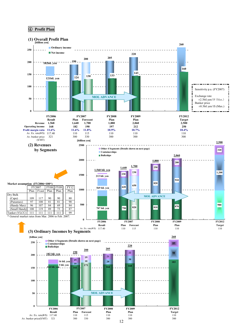#### ④ **Profit Plan**

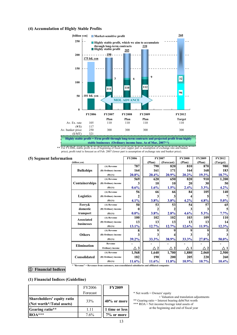#### **(4) Accumulation of Highly Stable Profits**



**Highly stable profit = Firm profit through long-term contracts and projected profit from highly stable businesses (Ordinary income base. As of Mar, 2007\*\*)**

\*\* For FY2006, stable profit is as of beginning of fiscal year (upper part is assumption of exchange rate and bunker price), profit total is forecast as of Feb. 2007 (lower part is assumption of exchange rate and bunker price).

#### **(5) Segment Information**

| n                  |                     | <b>FY2006</b> |                 | <b>FY2007</b>     |          | <b>FY2009</b> | <b>FY2012</b> |
|--------------------|---------------------|---------------|-----------------|-------------------|----------|---------------|---------------|
| (billion yen)      |                     |               | (Plan)          | (Forecast)        | (Plan)   | (Plan)        | (Target)      |
|                    | (A) Revenue         | 787           | 790             | 820               | 810      | 870           | 980           |
| <b>Bulkships</b>   | (B) Ordinary income | 164           | 161             | 171               | 164      | 168           | 183           |
|                    | (B)/(A)             | 20.8%         | $20.4\%$        | 20.9%             | $20.2\%$ | 19.3%         | 18.7%         |
|                    | (A) Revenue         | 569           | 620             | 650               | 820      | 910           | 1,200         |
| Containerships     | (B) Ordinary income | 3             | 10 <sup>1</sup> | 10                | 20       | 30            | 50            |
|                    | (B)/(A)             | 0.6%          | $1.6\%$         | 1.5%              | 2.4%     | 3.3%          | 4.2%          |
|                    | (A) Revenue         | 56            | 66              | 66                | 84       | 105           | 140           |
| Logistics          | (B) Ordinary income |               |                 |                   |          |               | 7             |
|                    | (B)/(A)             | 4.1%          | $3.8\%$         | 3.8%              | 4.2%     | 4.8%          | 5.0%          |
| Ferry&             | (A) Revenue         | 50            | 53              | 53                | 54       | 57            | 65            |
| domestic           | (B) Ordinary income | 0             |                 |                   |          | 3             | 5             |
| transport          | (B)/(A)             | $0.0\%$       | $3.8\%$         | 2.8%              | 4.6%     | $5.3\%$       | $7.7\%$       |
| <b>Associated</b>  | (A) Revenue         | 100           | 102             | 102               | 103      | 109           | 110           |
| businesses         | (B) Ordinary income | 13            | 13 <sup>1</sup> | 13                | 13       | 13            | 14            |
|                    | (B)/(A)             | 13.1%         | $12.7\%$        | 12.7%             | 12.6%    | 11.9%         | 12.3%         |
|                    | (A) Revenue         | 8             |                 |                   |          |               | 5             |
| <b>Others</b>      | (B) Ordinary income |               |                 |                   |          |               | 3             |
|                    | (B)/(A)             | 39.2%         | 33.3%           | 38.9%             | 33.3%    | 27.8%         | 50.0%         |
| <b>Elimination</b> | Revenue             |               |                 |                   |          |               |               |
|                    | Ordinary income     | $\Delta$ 3    | 2 <sup>1</sup>  | $\mathbf{2}$<br>Λ | Δ1       | 2             |               |
|                    | (A) Revenue         | 1,568         | 1,640           | 1,700             | 1,880    | 2,060         | 2,500         |
| Consolidated       | (B) Ordinary income | 182           | 190             | 200               | 205      | 220           | 260           |
|                    | (B)/(A)             | 11.6%         | $11.6\%$        | 11.8%             | 10.9%    | 10.7%         | 10.4%         |

**\* "Revenue" = Revenues from customers, non-consolidated subsidiaries and affiliated companies**

⑤ **Financial Indices** 

#### **(1) Financial Indices (Guideline)**

|                                                         | <b>FY2006</b> | <b>FY2009</b>  |
|---------------------------------------------------------|---------------|----------------|
|                                                         | Forecast      |                |
| Shareholders' equity ratio<br>(Net worth*/Total assets) | 33%           | 40% or more    |
| Gearing ratio**                                         | 1.11          | 1 time or less |
| <b>ROA</b> ***                                          | 7.6%          | 7% or more     |

\* Net worth = Owners' equity

+ Valuation and translation adjustments \*\* Gearing ratio = Interest bearing debt/Net worth \*\*\* ROA = Net income/Average total assets of

at the beginning and end of fiscal year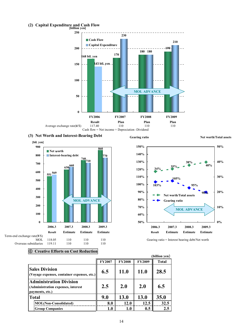## **(2) Capital Expenditure and Cash Flow [billion yen]**













#### ⑥ **Creative Efforts on Cost Reduction**

|                                                                                         |               |               |               | (billion yen) |
|-----------------------------------------------------------------------------------------|---------------|---------------|---------------|---------------|
|                                                                                         | <b>FY2007</b> | <b>FY2008</b> | <b>FY2009</b> | <b>Total</b>  |
| <b>Sales Division</b><br>(Voyage expenses, container expenses, etc.)                    | 6.5           | <b>11.0</b>   | <b>11.0</b>   | 28.5          |
| <b>Administration Division</b><br>(Administration expenses, interest<br>payments, etc.) | 2.5           | 2.0           | 2.0           | 6.5           |
| <b>Total</b>                                                                            | 9.0           | 13.0          | 13.0          | 35.0          |
| <b>MOL(Non-Consolidated)</b>                                                            | 8.0           | 12.0          | 12.5          | 32.5          |
| <b>Group Companies</b>                                                                  | 1.0           | 1.0           | 0.5           | 2.5           |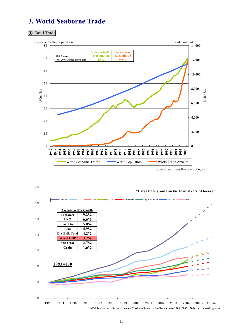## **3. World Seaborne Trade**

#### ① **Total Trade**



Source:Fearnleys Review 2006, etc.



**<sup>\*</sup> MOL internal calculation based on Clarkson Research Studies Autumn 2006 (2005e, 2006e: estimated f igures)**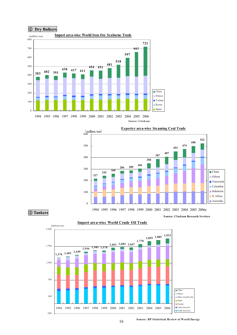



#### ③ **Tankers**





#### ② **Dry Bulkers**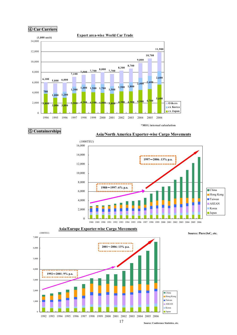



## **\*MO L inte rnal calculation**



#### **Asia/Europe Exporter-wise Cargo Movements**

#### **Source: Piers/JoC, etc.**



**Source: Conference Statistics, etc.**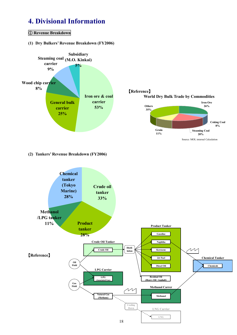## **4. Divisional Information**

#### ① **Revenue Breakdown**

**(1) Dry Bulkersí Revenue Breakdown (FY2006)** 



#### **(2) Tankersí Revenue Breakdown (FY2006)**

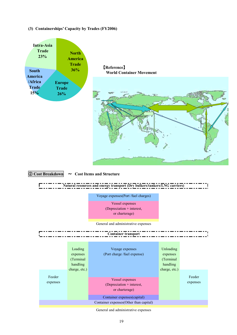#### **(3) Containerships' Capacity by Trades (FY2006)**



| charge, etc.)<br>charge, etc.)                                                                                                                                |                    |
|---------------------------------------------------------------------------------------------------------------------------------------------------------------|--------------------|
| Feeder<br>Vessel expenses<br>expenses<br>(Depreciation + interest,<br>or charterage)<br>Container expenses(capital)<br>Container expenses(Other than capital) | Feeder<br>expenses |

General and administrative expenses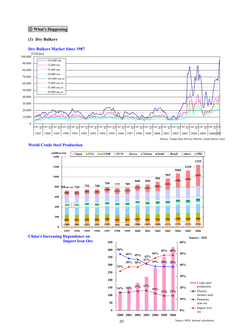#### **Whatís Happening**

#### **(1) Dry Bulkers**

#### **Dry Bulkers Market Since 1987**



#### **World Crude Steel Production**

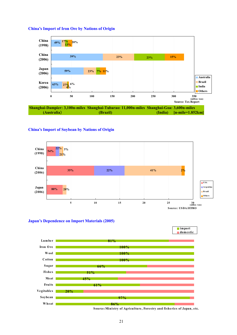

#### **Chinaís Import of Iron Ore by Nations of Origin**

#### **Chinaís Import of Soybean by Nations of Origin**







Source: Ministry of Agriculture, Forestry and fisheries of Japan, etc.

**import**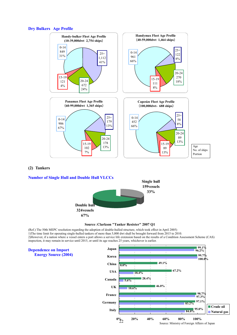



#### **(2) Tankers**

#### **Number of Single Hull and Double Hull VLCCs**



**Source**:**Clarkson "Tanker Resister" 2007 Q1**

(Ref.) The 50th MEPC resolution regarding the adoption of double-hulled structure, which took effect in April 2005) 1)The time limit for operating single-hulled tankers of more than 5,000 dwt shall be brought forward from 2015 to 2010. 2)However, if a nation where a vessel enters a port allows a service life extension based on the results of a Condition Assessment Scheme (CAS) inspection, it may remain in service until 2015, or until its age reaches 25 years, whichever is earlier.

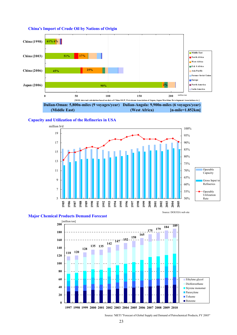

#### **China's Import of Crude Oil by Nations of Origin**





#### **Major Chemical Products Demand Forecast**



Source: DOE/EIA web site

Source: 'METI "Forecast of Global Supply and Demand of Petrochemical Products, FY 2005"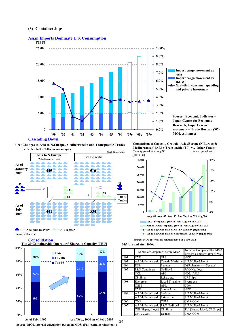#### **(3) Containerships**



#### **Asian Imports Dominate U.S. Consumption**







**Consolidation** 

**Top 20 Containership Operators' Shares in Capacity [TEU]**



**Source: MOL internal calculation based on MDS. (Full-containerships only)**

Capacity growth from Aug '00 Annual growth rate **Comparison of Capacity Growth : Asia /Europe (N.Europe & Mediterranean) [AE] + Transpacific [TP] vs. Other Trades**



#### **M&A in and after 1990s**

24

|      | Names of Companies before M&A |                 | Name of Company after M&A<br>(Parent Company after M&A) |  |  |
|------|-------------------------------|-----------------|---------------------------------------------------------|--|--|
| 1991 | <b>NYK</b>                    | NLS             | <b>NYK</b>                                              |  |  |
| 1993 | A.P.Moller-Maersk             | Canada Maritime | A.P.Moller-Maersk                                       |  |  |
| 1994 | DSR                           | Senetor         | DSR-Senator (-> Senetor)                                |  |  |
| 1997 | P&O Containers                | Nedlloyd        | P&O Nedllovd                                            |  |  |
|      | NOL                           | APL             | <b>NOL</b> [APL]                                        |  |  |
|      | CP Ships                      | Lykes, etc.     | CP Ships                                                |  |  |
| 1998 | Evergreen                     | Llyod Triestino | Evergreen                                               |  |  |
|      | CGM                           | ANL             | CGM                                                     |  |  |
|      | NYK                           | Showa Line      | NYK                                                     |  |  |
| 1999 | A.P.Moller-Maersk             | Sealand         | A.P.Moller-Maersk                                       |  |  |
|      | A.P.Moller-Maersk             | Safmarine       | A.P.Moller-Maersk                                       |  |  |
| 2000 | CMA                           | <b>CGM</b>      | <b>CMA-CGM</b>                                          |  |  |
| 2005 | A.P.Moller-Maersk             | P&O Nedllovd    | A.P.Moller-Maersk                                       |  |  |
|      | TUI [Hapag-Lloyd]             | CP Ships        | TUI [Hapag Lloyd, CP Ships]                             |  |  |
|      | CMA-CGM                       | Delmas          | <b>CMA-CGM</b>                                          |  |  |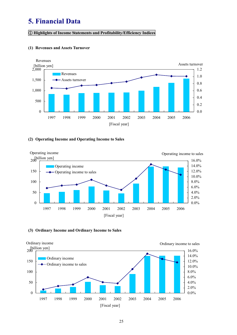## **5. Financial Data**

#### ① **Highlights of Income Statements and Profitability/Efficiency Indices**



#### **(1) Revenues and Assets Turnover**

#### **(2) Operating Income and Operating Income to Sales**



#### **(3) Ordinary Income and Ordinary Income to Sales**

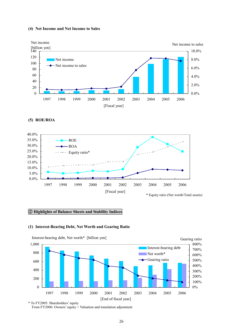#### **(4) Net Income and Net Income to Sales**



**(5) ROE/ROA** 



#### ② **Highlights of Balance Sheets and Stability Indices**

#### **(1) Interest-Bearing Debt, Net Worth and Gearing Ratio**



Interest-bearing debt, Net worth\* [billion yen]

From FY2006: Owners' equity + Valuation and translation adjustment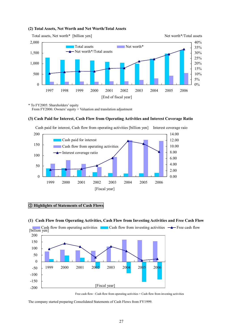

#### **(2) Total Assets, Net Worth and Net Worth/Total Assets**

\* To FY2005: Shareholders' equity From FY2006: Owners' equity + Valuation and translation adjustment

#### **(3) Cash Paid for Interest, Cash Flow from Operating Activities and Interest Coverage Ratio**



Cash paid for interest, Cash flow from operating activities [billion yen] Interest coverage raio

#### ③ **Highlights of Statements of Cash Flows**

#### **(1) Cash Flow from Operating Activities, Cash Flow from Investing Activities and Free Cash Flow**



**Cash flow from operating activities** Cash flow from investing activities  $\rightarrow$  Free cash flow

The company started preparing Consolidated Statements of Cash Flows from FY1999.

Free cash flow : Cash flow from operating activities + Cash flow from investing activities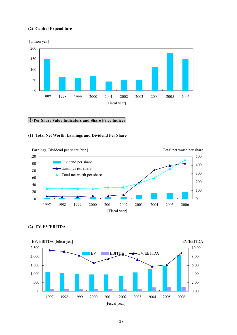#### **(2) Capital Expenditure**



#### ④ **Per Share Value Indicators and Share Price Indices**

#### **(1) Total Net Worth, Earnings and Dividend Per Share**



**(2) EV, EV/EBITDA** 

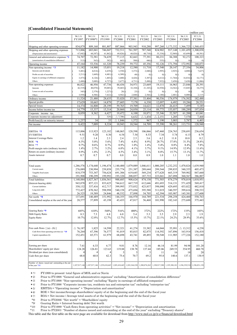#### **[Consolidated Financial Statements]**

|                                                                       |                    |                      |                    |                           |                    |                    |                    |                              |                              | (million yen)                |
|-----------------------------------------------------------------------|--------------------|----------------------|--------------------|---------------------------|--------------------|--------------------|--------------------|------------------------------|------------------------------|------------------------------|
|                                                                       | 98.3.31<br>FY1997  | '99.3.31<br>FY1998*1 | '00.3.31<br>FY1999 | '01.3.31<br><b>FY2000</b> | '02.3.31<br>FY2001 | '03.3.31<br>FY2002 | '04.3.31<br>FY2003 | '05.3.31<br>FY2004           | 06.3.31<br>FY2005            | '07.3.31<br>FY2006           |
| Shipping and other operating revenues                                 | 834.879            | 809,160              | 881,807            | 887,866                   | 903.943            | 910.288            | 997,260            | 1,173,332                    | 1,366,725                    | 1,568,435                    |
| Shipping and other operating expenses                                 | 713,006            | 683,041              | 746,047            | 732,511                   | 761,507            | 787,540            | 824,902            | 917,148                      | 1,101,459                    | 1,300,038                    |
| (Depreciation and amortization)                                       | 67,842)            | 60,387)              | 61,862)            | 69,826)                   | 68,826)            | 60,710)            | 55,334)            | 52,969)                      | 65,699)                      | 68,581)                      |
| General and administrative expenses *2                                | 74,707             | 72,581               | 74,439             | 77,115                    | 82,663             | 77,391             | 80,231             | 84,388                       | 92.272                       | 100,323                      |
| (amortization of consolidation difference)<br>Operating income        | 513)<br>47,164     | 563)<br>53,536       | 582)<br>61,320     | 663)<br>78,239            | 588)<br>59,772     | 446)<br>45,356     | 535)<br>92,126     | $\left( 0\right)$<br>171,794 | $\left( 0\right)$<br>172,992 | $\left( 0\right)$<br>168,073 |
| Non-operating income $*3$                                             | 11,182             | 14,900               | 15,051             | 19,218                    | 12,580             | 11,718             | 17,540             | 20,147                       | 27,356                       | 34,806                       |
| Interests and dividends                                               | $5,481$ $($        | $4,014$ ) $($        | $4,439$ $($        | 3,550                     | $3,372$ )          | $2,840$ $($        | 2,995              | 2,925                        | 4,888)                       | 7,627)                       |
| Profits on sale of securities                                         | $3,211$ $($        | $1,669$ )            | 4,481)             | 6,309                     | 49)                | $0)$ <sup>(</sup>  | $ 0\rangle$        | $\left( 0\right)$            | $ 0\rangle$                  | (0)                          |
| Equity in earnings of affiliated companies                            | 3,473)             | $4,126$ )            | 1,403)             | 3,680)                    | $4,426$ )          | $3,387$ $($        | 6,612              | 11,764)                      | 16,816                       | 16, 171)                     |
| Others                                                                | 2,488)             | 5,089)               | 4,727)             | 5,677)                    | 4,731)             | 5,490)             | 7,932)             | 5,458)                       | 5,650                        | 11,006)                      |
| Non-operating expenses                                                | 46,822             | 46,956               | 47,736             | 44,436                    | 34,971             | 23,669             | 19,111             | 16,963                       | 23,846                       | 20.391                       |
| Interests                                                             | $42,519$ (         | $40,070$ (           | 39,085)            | 39,465)                   | 32,104             | $21,103$ ](        | 16,930)            | 14,562)                      | 15,845)                      | 18,275)                      |
| Losses on sale of securities                                          | 345)               | $2,379$ )            | 1,227              | 28)                       | 25)                | $\left( 0\right)$  | $ 0\rangle$        | $\left( 0\right)$            | $\left( 0\right)$            | $\left( 0\right)$            |
| Others                                                                | 3.958)             | 4,506)               | 7,422)             | 4,942)                    | 2,840)             | 2,566)             | 2,180              | 2,401)                       | 8,000)                       | 2,115                        |
| Ordinary income                                                       | 11,524             | 21,480               | 28,635             | 53,020                    | 37,381             | 33,404             | 90,556             | 174,979                      | 176,502                      | 182,488                      |
| Special profits                                                       | 17,629             | 10,665               | 14,879             | 27,605                    | 7,178              | 6,330              | 12,097             | 6,492                        | 19,286                       | 20,551                       |
| Special losses                                                        | 14,374             | 16,808               | 28,199             | 59,765                    | 19,709             | 14,621             | 12,878             | 26,415                       | 7,499                        | 5,185                        |
| Income before income tax                                              | 14.779             | 15,337               | 15,314             | 20,860                    | 24,850             | 25,114             | 89,775             | 155,057                      | 188,289                      | 197,854                      |
| Corporate income<br>tax.                                              | 8,059              | 8,362                | 6,427              | 19.472                    | 6,100              | 10,871             | 35,346             | 52,587                       | 61,200                       | 63.041                       |
| Corporate income tax adjustment                                       |                    |                      | 529)               | $\triangle$ 7,708)        | 6,632              | .434<br>Δ<br>-1    | 2,151<br>Λ         | 1,205                        | 7,570                        | 7,468                        |
| Profit/ $\text{loss}(\Delta)$ on minority interest                    | $\triangle$ 1.257  | 34                   | 33                 | $\triangle$ 1,846         | 1,572              | 967                | 1.190              | 3.003                        | 5,787                        | 6,403                        |
| Net income                                                            | 8,422              | 7,009                | 8,324              | 10,943                    | 10,544             | 14,709             | 55,390             | 98,261                       | 113,731                      | 120.940                      |
|                                                                       | 115.006            |                      | 123.182            |                           |                    |                    |                    |                              |                              |                              |
| EBITDA *5<br><b>EV/EBITDA</b>                                         | 9.51               | 113,923<br>9.20      | 8.30               | 148,065<br>6.54           | 128,598<br>7.54    | 106,066<br>8.53    | 147,460<br>7.34    | 224,763<br>5.74              | 238,691<br>6.13              | 236,654<br>8.79              |
| <b>Interest Coverage Ratio</b>                                        | 1.2                | 1.4                  | 2.3                | 2.4                       | 2.5                | 3.6                | 6.2                | 11.8                         | 10.8                         | 8.2                          |
| $ROE * 6$                                                             | 6.3%               | 5.0%                 | 5.6%               | 7.4%                      | 6.8%               | 8.9%               | 28.7%              | 37.8%                        | 31.5%                        | 24.8%                        |
| $ROA *7$                                                              | 0.7%               | 0.6%                 | 0.7%               | 0.9%                      | 1.0%               | 1.4%               | 5.4%               | 8.8%                         | 8.4%                         | 7.8%                         |
| Profit margin ratio (ordinary income)                                 | 1.4%               | 2.7%                 | 3.2%               | 6.0%                      | 4.1%               | 3.7%               | 9.1%               | 14.9%                        | 12.9%                        | 11.6%                        |
| Return on assets (ordinary income)                                    | 0.9%               | 1.8%                 | 2.3%               | 4.5%                      | 3.4%               | 3.1%               | 8.8%               | 15.7%                        | 13.1%                        | 11.7%                        |
| Assets turnover                                                       | 0.7                | 0.7                  | 0.7                | 0.8                       | 0.8                | 0.9                | 1.0                | 1.1                          | 1.0                          | 1.0                          |
| Total assets                                                          | 1,286,576          | 1,174,640            | 1,196,474          | 1,140,400                 | 1,079,089          | 1,046,611          | 1,000,205          | 1,232,252                    | 1,470,824                    | 1,639,940                    |
| Current assets                                                        | 276,089            | 230,994              | 239,858            | 255,774                   | 251,387            | 289,644            | 299,544            | 299,835                      | 340,355                      | 405,473                      |
| Tangible fixed assets                                                 | 818,579            | 753,347              | 756,624            | 691,306                   | 619,645            | 569,234            | 477,620            | 665,319                      | 769,902                      | 847,660                      |
| Others                                                                | 191,908            | 190,299              | 199.992            | 193,320                   | 208,057            | 187,733            | 223,041            | 267,098                      | 360,567                      | 386,807                      |
| <b>Total liabilities</b>                                              | 1,148,884          | 1,027,367            | 1,036,561          | 988,685                   | 908,624            | 874,130            | 771,503            | 874,279                      | 978,019                      | 1,018,951                    |
| (Interest-bearing debt)                                               | 943,078            | 857,121              | 833,625            | 744,612                   | 667,719            | 612,646            | 491,693            | 514,131                      | 571,429                      | 569,417                      |
| Current liabilities                                                   | 350,132            | 337,416              | 412,717            | 399,995                   | 375,032            | 423,837            | 398,090            | 429,695                      | 433,022                      | 482,810                      |
| Long-term debt                                                        | 772,427            | 670,362              | 598.998            | 540,158                   | 475,694            | 395,588            | 311,019            | 340.597                      | 399,616                      | 398,533                      |
| Others                                                                | 26,325             | 19,589               | 24,846             | 48,532                    | 57,898             | 54,705             | 62,394             | 103,987                      | 145,381                      | 137,608                      |
| Net worth $*8$<br>Consolidated surplus at the end of the year         | 137,691<br>28,577  | 140,489<br>37,899    | 151,992<br>43,198  | 144,355<br>43,433         | 166,970<br>47,817  | 164,789<br>56,468  | 221,534<br>101,990 | 298,258<br>182,143           | 424,460<br>275,688           | 550,763<br>375,443           |
| Gearing Ratio *9                                                      | 685%               | 610%                 | 548%               | 516%                      | 400%               | 372%               | 222%               | 172%                         | 135%                         | 103%                         |
| Debt Equity Ratio                                                     | 8.3                | 7.3                  | 6.8                | 6.8                       | 5.4                | 5.3                | 3.5                | 2.9                          | 2.3                          | 1.9                          |
| <b>Equity Ratio</b>                                                   | 10.7%              | 12.0%                | 12.7%              | 12.7%                     | 15.5%              | 15.7%              | 22.1%              | 24.2%                        | 28.9%                        | 33.6%                        |
| Free cash flows $(a) - (b)$ ]                                         | $\triangle$ 76,187 | 1,825                | 14,598             | 22,321                    | 41,274             | 33,382             | 64,044             | 55,991                       | $\triangle$ 13,312           | 4,238                        |
| Cash flows from operating activities (a) $*10$                        | 76,264             | 67,396               | 76,577             | 91,019                    | 85,015             | 82,875             | 114,592            | 167,896                      | 163,914                      | 156,418                      |
| Capital expenditure (b)                                               | 152,451            | 65,571               | 61,979             | 68,698                    | 43,741             | 49,493             | 50,548             | 111,905                      | 177,226                      | 152,180                      |
| Earning per share                                                     | 7.61               | 6.33                 | 6.77               | 9.01                      | 8.76               | 12.16              | 46.14              | 81.99                        | 94.98                        | 101.20                       |
| Shareholders' equity per share                                        | 124.28             | 126.81               | 123.63             | 119.88                    | 138.78             | 137.44             | 185.06             | 249.53                       | 354.95                       | 460.78                       |
| Dividend per share (non-consolidated)                                 | 4                  | 4                    |                    | 5                         | 5                  | 5                  | 11                 | 16                           | 18                           | 20                           |
| Cash flow per share                                                   | 68.8               | 60.8                 | 62.3               | 75.6                      | 70.7               | 69.2               | 95.8               | 140.6                        | 137.1                        | 130.9                        |
| Number of shares issued and outstanding at the end<br>of the year *11 | 1,107,917,146      | 1,107,917,146        | 1,229,410,445      | 1,205,410,445             | 1,203,344,220      | 1,200,874,262      | 1,198,917,280      | 1,195,388,101                | 1,196,339,510                | 1,196,031,158                |

\*1: FY1999 to present: total figure of MOL and ex-Navix

\*2: Prior to FY1998: "General and administrative expenses" excluding "Amortization of consolidation difference"

\* 3: Prior to FY1998: "Non-operating income" excluding "Equity in earnings of affiliated companies"

\* 4: Prior to FY1998: "Corporate income tax, residents tax and enterprise tax" excluding "enterprise tax"

 $*5$ : EBITDA = "Operating income" + "Depreciation and amortization"

\*6: ROE = Net income/Average shareholdersí equity of at the beginning and the end of the fiscal year

\* 7: ROA = Net income / Average total assets of at the beginning and the end of the fiscal year \*8: Prior to FY2006: "Net worth" = "Sharholders' equity

\*8: Prior to FY2006: "Net worth" = "Sharholders' equity"<br>\*9: Georing Batio = Interest-bearing debt/ Net worth

 $\mbox{Gearing Ratio} = \mbox{Interest-bearing debt/ Net worth}$ 

\*10: Prior to FY1999: "Cash flows from operating activities" = "Net income" + "Depreciation and amortization

\*11 Prior to FY2001: "Number of shares issued and outstanding at the end of the year" excluding "Treasury shares"

This table and the first table on the next page are available for download from http://www.mol.co.jp/ir-e/financial/download.html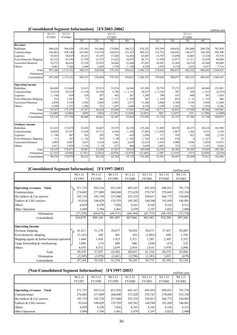#### **[Consolidated Segment Information]** (**FY2003-2006**)

|                            |                 |           |                 |                |                 |                   |                 |                   |         |                |                 | (million yen) |
|----------------------------|-----------------|-----------|-----------------|----------------|-----------------|-------------------|-----------------|-------------------|---------|----------------|-----------------|---------------|
|                            | '04.3.31        | '05.3.31  |                 |                | '06.3.31        |                   |                 |                   |         | '07.3.31       |                 |               |
|                            | FY2003          | FY2004    |                 |                | FY2005          |                   |                 |                   |         | FY2006         |                 |               |
|                            |                 |           | 1Q              | 2Q             | 3Q              | 4Q                |                 | 1Q                | 2Q      | 3Q             | 4Q              |               |
| <b>Revenues</b>            |                 |           |                 |                |                 |                   |                 |                   |         |                |                 |               |
| <b>Bulkships</b>           | 494,628         | 596,638   | 155,365         | 161,666        | 179,069         | 180,222           | 676,322         | 185,599           | 189,034 | 203,080        | 209,326         | 787,039       |
| Containerships             | 344,901         | 399,140   | 103,845         | 114,129        | 149,033         | 121,225           | 488,232         | 132,763           | 144,841 | 146,677        | 144,309         | 568,590       |
| Logistics                  | 53,033          | 58,019    | 14,521          | 15,107         | 17,603          | 16,454            | 63,685          | 13,787            | 13,690  | 14,865         | 13,228          | 55,570        |
| Ferry/Domestic Shipping    | 42,122          | 45,350    | 11,799          | 12,753         | 11,622          | 10,597            | 46,771          | 11,950            | 13,877  | 11,211         | 12,810          | 49,848        |
| <b>Associated Business</b> | 54,572          | 66,616    | 21,338          | 22,823         | 20,646          | 22,646            | 87,453          | 24,947            | 25,264  | 24,518         | 24,940          | 99,669        |
| Others                     | 8,001           | 7,566     | 1,444           | 1,605          | 1,730           | $\triangle$ 520   | 4,259           | 1,595             | 2,170   | 1,874          | 2,077           | 7,716         |
| Total                      | 997,260         | 1,173,332 | 308,315         | 328,084        | 379,703         | 350,623           | 1,366,725       | 370,643           | 388,875 | 402,225        | 406,692         | 1,568,435     |
| Elimination                |                 |           |                 |                |                 |                   |                 |                   |         |                |                 |               |
| Consolidated               | 997,260         | 1,173,332 | 308,315         | 328,084        | 379,703         | 350,623           | 1,366,725       | 370,643           | 388,875 | 402,225        | 406,692         | 1,568,435     |
|                            |                 |           |                 |                |                 |                   |                 |                   |         |                |                 |               |
| <b>Operating Income</b>    |                 |           |                 |                |                 |                   |                 |                   |         |                |                 |               |
| <b>Bulkships</b>           | 66,688          | 112,469   | 31,615          | 25,913         | 33,514          | 34,546            | 125,588         | 29,793            | 37,275  | 42,053         | 44,860          | 153,981       |
| Containerships             | 23,434          | 54,219    | 11,130          | 19,350         | 5,790           | $\triangle$ 1,713 | 34,557          | $\triangle$ 3,103 | 307     | 458            | $\triangle$ 615 | (2,953)       |
| Logistics                  | $\triangle$ 144 | 838       | 230             | 307            | 402             | 261               | 1,200           | 290               | 147     | 608            | 381             | 1,426         |
| Ferry/Domestic Shipping    | 533             | 1,287     | 77              | 642            | $\triangle$ 117 | $\triangle$ 295   | 307             | $\triangle$ 219   | 853     | $\triangle 22$ | $\triangle$ 152 | 460           |
| <b>Associated Business</b> | 2,694           | 5,130     | 2,926           | 2,860          | 2,903           | 2,571             | 11,260          | 2,860             | 2,708   | 3,194          | 2,898           | 11,660        |
| Others                     | 2,360           | 1,535     | 1,286           | 351            | 1.207           | 1,686             | 4,530           | 1,149             | 1,562   | 741            | 1.934           | 5,386         |
| Total                      | 95,567          | 175,479   | 47,267          | 49,424         | 43.698          | 37,055            | 177,444         | 30,771            | 42,854  | 47,030         | 49,306          | 169,961       |
| Elimination                | (3,440)         | (3,684)   | (859)           | (562)          | (1, 391)        | (1,639)           | (4, 451)        | 962               | (1,627) | 335            | (1, 558)        | (1,888)       |
| Consolidated               | 92,126          | 171,794   | 46,408          | 48,861         | 42,307          | 35,416            | 172,992         | 31,734            | 41,225  | 47,366         | 47,748          | 168,073       |
|                            |                 |           |                 |                |                 |                   |                 |                   |         |                |                 |               |
| <b>Ordinary Income</b>     |                 |           |                 |                |                 |                   |                 |                   |         |                |                 |               |
| <b>Bulkships</b>           | 61,632          | 115,078   | 35,050          | 28,067         | 35,879          | 36,350            | 135,346         | 31,809            | 38,878  | 44,275         | 48,618          | 163,580       |
| Containerships             | 24,808          | 55,557    | 11,638          | 19,711         | 6,564           | $\triangle$ 428   | 37,485          | $\triangle$ 2,030 | 1,067   | 1,582          | 2,531           | 3,150         |
| Logistics                  | $\triangle$ 196 | 907       | 282             | 365            | 785             | 618               | 2,050           | 377               | 358     | 822            | 699             | 2,256         |
| Ferry/Domestic Shipping    | 111             | 183       | $\triangle$ 136 | 525            | $\triangle$ 99  | $\triangle$ 392   | $\triangle$ 102 | $\triangle$ 424   | 676     |                | $\triangle$ 237 | 19            |
| <b>Associated Business</b> | 2,905           | 4,987     | 3,015           | 3,414          | 3,461           | 2,629             | 12,519          | 3,453             | 3,000   | 3,566          | 3,054           | 13,073        |
| Others                     | 3,417           | 1,958     | 1,136           | $\triangle 24$ | 677             | 860               | 2,649           | 1,007             | 723     | 115            | 1,181           | 3,026         |
| Total                      | 92,678          | 178,673   | 50,987          | 52,059         | 47,267          | 39,635            | 189,948         | 34,192            | 44,704  | 50,365         | 55,845          | 185,106       |
| Elimination                | (2, 122)        | (3,694)   | (1,761)         | (2,831)        | (4,974)         | (3,879)           | (13, 445)       | 1,189             | (1,616) | (157)          | (2,034)         | (2,618)       |
| Consolidated               | 90,556          | 174,979   | 49,225          | 49,228         | 42,294          | 35,755            | 176,502         | 35,381            | 43,087  | 50,208         | 53,812          | 182,488       |
|                            |                 |           |                 |                |                 |                   |                 |                   |         |                |                 |               |

## **[Consolidated Segment Information]** (**FY1997-2003**)

| Consolidated Segment Information <br>(FY1997-2003)<br>(million yen) |           |           |           |               |           |           |           |
|---------------------------------------------------------------------|-----------|-----------|-----------|---------------|-----------|-----------|-----------|
|                                                                     | '98.3.31  | 99.3.31   | '00.3.31  | 01.3.31       | '02.3.31  | '03.3.31  | 04.3.31   |
|                                                                     | FY1997    | FY1998    | FY1999    | <b>FY2000</b> | FY2001    | FY2002    | FY2003    |
|                                                                     |           |           |           |               |           |           |           |
| <b>Operating revenues</b><br><b>Total</b>                           | 571,735   | 585,514   | 651,936   | 683,167       | 693,854   | 698,831   | 791,776   |
| Containerships                                                      | 274,602   | 277,009   | 268,048   | 272,428       | 278,747   | 278,043   | 323,336   |
| Dry bulkers & Car carriers                                          | 192,719   | 193,720   | 237,040   | 253,335       | 259,017   | 266,772   | 310,085   |
| Tankers & LNG carriers                                              | 93,634    | 104,829   | 135,539   | 145,582       | 144,548   | 141,850   | 146,881   |
| Others                                                              | 6,829     | 6,250     | 7,826     | 8,341         | 8,342     | 9,142     | 8,512     |
| Other Operation                                                     | 3,949     | 3,704     | 3,481     | 3,479         | 3,197     | 3,023     | 2,960     |
| Elimination                                                         | (77, 258) | (69, 675) | (69, 371) | (66, 544)     | (67, 373) | (68, 193) | (72, 174) |
| Consolidated                                                        | 834,879   | 809,160   | 881,807   | 887,866       | 903,943   | 910,288   | 997,260   |
|                                                                     |           |           |           |               |           |           |           |
| <b>Operating Income</b>                                             |           |           |           |               |           |           |           |
| Overseas shipping                                                   | 41,811    | 51,170    | 58,077    | 74,018        | 58,673    | 37,457    | 83,085    |
| Ferry/domestic shipping                                             | (1,181)   | 160       | 441       | (61)          | (1,001)   | 648       | 1,256     |
| Shipping agents & harbor/terminal operation                         | 1,664     | 1,618     | 1,923     | 3,321         | 1,205     | 2,305     | 5,352     |
| Cargo forwarding $&$ warehousing                                    | 1,096     | (15)      | 680       | 646           | (336)     | (53)      | 222       |
| Others                                                              | 6,078     | 4,572     | 2,859     | 2,910         | 2,614     | 3,978     | 2,890     |
| Total                                                               | 49,470    | 57,507    | 63,982    | 80,835        | 61,154    | 44,335    | 92,806    |
| Elimination                                                         | (2,305)   | (3,970)   | (2,661)   | (2,596)       | (1,381)   | 1,021     | (679)     |
| Consolidated                                                        | 47,164    | 53,536    | 61,320    | 78,239        | 59,772    | 45,356    | 92,126    |

#### **[Non-Consolidated Segment Information]** (**FY1997-2003**)

| [NON-CONSOLIQATEG_SEGMENT_INTOFMATION]__ \F_Y_1997-20037<br>(million yen) |         |         |          |               |          |          |          |
|---------------------------------------------------------------------------|---------|---------|----------|---------------|----------|----------|----------|
|                                                                           | 98.3.31 | 99.3.31 | '00.3.31 | 01.3.31       | '02.3.31 | '03.3.31 | '04.3.31 |
|                                                                           | FY1997  | FY1998  | FY1999   | <b>FY2000</b> | FY2001   | FY2002   | FY2003   |
|                                                                           |         |         |          |               |          |          |          |
| <b>Operating revenues</b><br>Total                                        | 571,735 | 585,514 | 651,936  | 683,167       | 693,854  | 698,831  | 791,776  |
| Containerships                                                            | 274,602 | 277,009 | 268,048  | 272,428       | 278,747  | 278,043  | 323,336  |
| Dry bulkers & Car carriers                                                | 192,719 | 193,720 | 237,040  | 253,335       | 259,017  | 266,772  | 310,085  |
| Tankers & LNG carriers                                                    | 93,634  | 104,829 | 135,539  | 145,582       | 144,548  | 141,850  | 146,881  |
| Others                                                                    | 6,829   | 6,250   | 7,826    | 8,341         | 8,342    | 9,142    | 8,512    |
| Other Operation                                                           | 3.949   | 3,704   | 3,481    | 3,479         | 3,197    | 3,023    | 2,960    |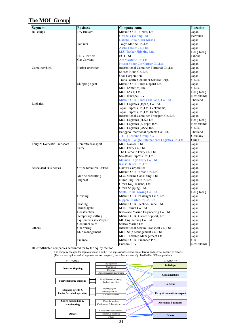## **The MOL Group**

| <b>Segment</b>               | <b>Business</b>           | <b>Company name</b>                                             | Location       |
|------------------------------|---------------------------|-----------------------------------------------------------------|----------------|
| <b>Bulkships</b>             | Dry Bulkers               | Mitsui O.S.K. Kinkai, Ltd.                                      | Japan          |
|                              |                           | Gearbulk Holding Ltd.                                           | Bermuda        |
|                              |                           | Daiichi Chuo Kisen Kiasha                                       | Japan          |
|                              | Tankers                   | Tokyo Marine Co., Ltd.                                          | Japan          |
|                              |                           | Asahi Tanker Co., Ltd.                                          | Japan          |
|                              |                           | M.S. Tanker Shipping Ltd.                                       | Hong Kong      |
|                              | <b>LNG Carriers</b>       | <b>BGT</b> Ltd.                                                 | Liberia        |
|                              | Car Carriers              | Act Maritime Co., Ltd.                                          | Japan          |
|                              |                           | Nissan Motor Car Carrier Co., Ltd.                              | Japan          |
| Containerships               | Harbor operation          | International Container Terminal Co., Ltd.                      | Japan          |
|                              |                           | Shosen Koun Co., Ltd.                                           | Japan          |
|                              |                           | Utoc Corporation                                                | Japan          |
|                              |                           | Trans Pacific Container Service Corp.                           | U.S.A.         |
|                              | Shipping agent            | Mitsui O.S.K. Lines (Japan) Ltd.                                | Japan          |
|                              |                           | MOL (America) Inc.                                              | U.S.A.         |
|                              |                           | MOL (Asia) Ltd.                                                 | Hong Kong      |
|                              |                           | MOL (Europe) B.V.                                               | Netherlands    |
|                              |                           | Mitsui O.S.K. Lines (Thailand) Co., Ltd.                        | Thailand       |
| Logistics                    |                           | MOL Logistics (Japan) Co., Ltd.                                 | Japan          |
|                              |                           | Japan Express Co., Ltd. (Yokohama)                              | Japan          |
|                              |                           | Japan Express Co., Ltd. (Kobe)                                  | Japan          |
|                              |                           | International Container Transport Co., Ltd.                     | Japan          |
|                              |                           | MOL Logistics (H.K.) Ltd.                                       | Hong Kong      |
|                              |                           | MOL Logistics (Europe) B.V.                                     | Netherlands    |
|                              |                           | MOL Logistics (USA) Inc.                                        | U.S.A.         |
|                              |                           | Bangpoo Intermodal Systems Co., Ltd.                            | Thailand       |
|                              |                           | J. F. Hillebrand Group AG                                       | Germany        |
|                              |                           | Shanghai Longfei International Logistics Co., Ltd.              | China          |
| Ferry & Domestic Transport   | Domestic transport        | MOL Naikou, Ltd.                                                | Japan          |
|                              | Ferry                     | MOL Ferry Co., Ltd.                                             | Japan          |
|                              |                           | The Diamond Ferry Co., Ltd.                                     | Japan          |
|                              |                           | Sea-Road Express Co., Ltd.                                      | Japan          |
|                              |                           | Meimon Taiyo Ferry Co., Ltd.                                    | Japan          |
|                              |                           | Kansai Kisen Co., Ltd.                                          | Japan          |
| <b>Associated Businesses</b> | Office rental/real estate | Daibiru Corporation                                             | Japan          |
|                              |                           | Mitsui O.S.K. Kosan Co., Ltd.                                   | Japan          |
|                              | Marine consulting         | M.O. Marine Consulting, Ltd.                                    | Japan          |
|                              | Tugboat                   | Nihon Tug-Boat Co., Ltd.                                        | Japan          |
|                              |                           | Green Kaiji Kaisha, Ltd.                                        | Japan          |
|                              |                           | Green Shipping, Ltd.                                            | Japan          |
|                              |                           | South China Towing Co., Ltd.                                    | Hong Kong      |
|                              | Cruising                  | Mitsui O.S.K. Passenger Line, Ltd.                              | Japan          |
|                              | Trading                   | Nippon Charter Cruise, Ltd.<br>Mitsui O.S.K. Techno-Trade, Ltd. | Japan          |
|                              | Travel agent              | M.O. Tourist Co., Ltd.                                          | Japan          |
|                              | Construction              | Kusakabe Marine Engineering Co., Ltd.                           | Japan          |
|                              | Temporary staffing        | Mitsui O.S.K. Career Support, Ltd.                              | Japan<br>Japan |
|                              | Equipments sales/repair   | MO Engineering Co., Ltd.                                        | Japan          |
|                              | Container sales           | Sanwa Marine Ltd.                                               | Japan          |
| Others                       | Chartering                | International Marine Transport Co., Ltd.                        | Japan          |
|                              | Ship management           | MOL Ship Management Co., Ltd.                                   | Japan          |
|                              |                           | MOL Tankship Management Ltd.                                    | Japan          |
|                              | Finance                   | Mitsui O.S.K. Finanace Plc.                                     | U.K.           |
|                              |                           | Euromol B.V.                                                    | Netherlands    |

Blue=Affiliated companies accounted for by the equity method

The company changed the segmentation in FY2004. An approximate comparison of former and new segments is as follows.

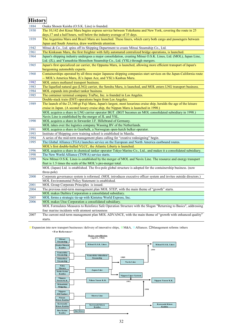## **History**

| 1884 | Osaka Shosen Kaisha (O.S.K. Line) is founded.                                                                       |
|------|---------------------------------------------------------------------------------------------------------------------|
| 1930 | The 10,142 dwt Kinai Maru begins express service between Yokohama and New York, covering the route in 25            |
|      | days, 17 and a half hours, well below the industry average of 35 days.                                              |
| 1939 | The Argentina Maru and Brazil Maru are launched. These liners, which carry both cargo and passengers between        |
|      | Japan and South America, draw worldwide attention.                                                                  |
| 1942 | Mitsui & Co., Ltd. spins off its Shipping Department to create Mitsui Steamship Co., Ltd.                           |
| 1961 | The Kinkasan Maru, the first freighter with fully automated centralized bridge operations, is launched.             |
| 1964 | Japan's shipping industry undergoes a major consolidation, creating Mitsui O.S.K. Lines, Ltd. (MOL), Japan Line,    |
|      | Ltd. (JL), and Yamashita-Shinnihon Steamship Co., Ltd. (YSL) through mergers.                                       |
| 1965 | Japan's first specialized car carrier, the Oppama Maru, is launched, allowing more efficient transport of Japan's   |
|      | burgeoning automobile exports.                                                                                      |
| 1968 | Containerships operated by all three major Japanese shipping companies start services on the Japan-California route |
|      | -- MOL's America Maru, JL's Japan Ace, and YSL's Kashuu Maru.                                                       |
| 1982 | MOL enters methanol transport business.                                                                             |
| 1983 | The liquefied natural gas (LNG) carrier, the Senshu Maru, is launched, and MOL enters LNG transport business.       |
| 1984 | MOL expands into product tanker business.                                                                           |
| 1985 | The container terminal company TraPac, Inc. is founded in Los Angeles.                                              |
|      | Double-stack train (DST) operations begin from Los Angeles.                                                         |
| 1989 | The launch of the 23,340-gt Fuji Maru, Japan's largest, most luxurious cruise ship, heralds the age of the leisure  |
|      | cruise in Japan. (A second luxury cruise ship, the Nippon Maru is launched in 1990.)                                |
|      | MOL acquires a share in LNG carrier operator BGT. (BGT becomes an MOL consolidated subsidiary in 1998.)             |
|      | Navix Line is established by the merger of JL and YSL.                                                              |
| 1990 | MOL acquires a share in forwarder J.F. Hillebrand of Germany.                                                       |
|      | MOL takes over the logistics company Wassing BV of the Netherlands.                                                 |
| 1991 | MOL acquires a share in Gearbulk, a Norwegian open-hatch bulker operator.                                           |
| 1993 | Institute of Shipping crew training school is established in Manila.                                                |
| 1994 | A series of the mid-term management plans calling for "creative redesigning" begin.                                 |
| 1995 | The Global Alliance (TGA) launches service on the European and North America eastbound routes.                      |
|      | MOL's first double-hulled VLCC, the Atlantic Liberty is launched.                                                   |
| 1996 | MOL acquires a share in chemical tanker operator Tokyo Marine Co., Ltd., and makes it a consolidated subsidiary.    |
| 1998 | The New World Alliance (TNWA) service starts.                                                                       |
| 1999 | New Mitsui O.S.K. Lines is established by the merger of MOL and Navix Line. The resource and energy transport       |
|      | fleet is 1.5 times the scale of the MOL's pre-merger total.                                                         |
|      | MOL (Japan) Ltd. is established. The five-pole global structure is adopted for the containership business. (now     |
|      | three-pole)                                                                                                         |
| 2000 | Corporate governance system is reformed. (MOL introduces executive officer system and invites outside directors.)   |
|      | MOL Environmental Policy Statement is established.                                                                  |
| 2001 | MOL Group Corporate Principles is issued.                                                                           |
| 2004 | The previous mid-term management plan MOL STEP, with the main theme of "growth" starts.                             |
|      | MOL makes Daibiru Corporation a consolidated subsidiary.                                                            |
| 2005 | MOL forms a strategic tie-up with Kintetsu World Express, Inc.                                                      |
| 2006 | MOL makes Utoc Corporation a consolidated subsidiary.                                                               |
|      | MOL Formulates Measures to Reinforce Safe Operation Structure with the Slogan "Returning to Basics", addressing     |
|      | four marine incidents with utomost seriousness                                                                      |
| 2007 | The current mid-term management plan MOL ADVANCE, with the main theme of "growth with enhanced quality"             |
|      | starts.                                                                                                             |

■ Expansion into new transport businesses /delivery of innovative ships, ■M&A, ■Alliances. □Management reforms /others **<For Reference>**

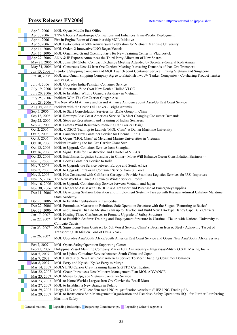## **Press Releases FY2006** Reference : http://www.mol.co.jp/pr-e.shtml

| Apr 3, 2006   | MOL Opens Middle East Office                                                                                     |
|---------------|------------------------------------------------------------------------------------------------------------------|
| Apr 3, 2006   | TNWA boosts Asia-Europe Connections and Enhances Trans-Pacific Deployment                                        |
| Apr 4, 2006   | Fire in Engine Room of Containership MOL Initiative                                                              |
| Apr 5, 2006   | MOL Participates in 50th Anniversary Celebration for Vietnam Maritime University                                 |
| Apr 14, 2006  | MOL Orders 2 Innovative LNG Regas Vessels                                                                        |
| Apr 17, 2006  | MOL Organized Grand Opening Party for New Training Center in Vladivostok                                         |
|               |                                                                                                                  |
| Apr 27, 2006  | ANA & JP Express Announces the Third Party Allotment of New Shares                                               |
|               | May 25, 2006 MOL Joins UN Global Compact Exchange Meeting Attended by Secretary-General Kofi Annan               |
|               | May 31, 2006 MOL Constructs New 43 Iron Ore Carriers Meeting Increasing Demands of Iron Ore Transport            |
| Jun 15, 2006  | Biendong Shipping Company and MOL Launch Joint Container Service Linking Vietnam and Singapore                   |
| Jun 30, 2006  | MOL and Oman Shipping Company Agree to Establish Two JV Tanker Companies - Co-sharing Product Tanker             |
|               | and VLGC -                                                                                                       |
| July 4, 2006  | MOL Upgrades India-Pakistan Container Service                                                                    |
| July 19, 2006 | MOL-Sinotrans JV to Own New Double-Hulled VLCC                                                                   |
| July 20, 2006 | MOL to Establish Wholly Owned Subsidiary in Vietnam                                                              |
| July 25, 2006 | Incident With The Car Carrier Cougar Ace                                                                         |
| July 28, 2006 | The New World Alliance and Grand Alliance Announce Joint Asia-US East Coast Service                              |
|               | Aug 15, 2006 Incident with the Crude Oil Tanker - Bright Artemis                                                 |
| Sep 5, 2006   | MOL to Start Consolidation Services for IKEA Group in China                                                      |
| Sep 12, 2006  | MOL Revamps East Coast Americas Service To Meet Changing Consumer Demands                                        |
| Sep 22, 2006  | MOL Steps up Recruitment and Training of Indian Seafarers                                                        |
| Sep 26, 2006  | MOL Patents Wind Resistance-Reducing Car Carrier Design                                                          |
| Oct 2, 2006   | MOL, COSCO Team up to Launch "MOL Class" at Dalian Maritime University                                           |
| Oct 2, 2006   | MOL Launches New Container Service for Chennai, India                                                            |
| Oct 5, 2006   | MOL Opens "MOL Class" at Merchant Marine Universities in Vietnam                                                 |
| Oct 10, 2006  | Incident Involving the Ion Ore Carrier Giant Step                                                                |
| Oct 13, 2006  | MOL to Upgrade Container Service from Shanghai                                                                   |
| Oct 16, 2006  | MOL Signs Deals for Construction and Charter of VLGCs                                                            |
| Oct 23, 2006  | MOL Establishes Logistics Subsidiary in China-- Move Will Enhance Ocean Consolidation Business --                |
|               | MOL Boosts Container Service to India                                                                            |
| Nov 1, 2006   |                                                                                                                  |
| Nov 7, 2006   | MOL to Upgrade the Service between Europe and South Africa                                                       |
| Nov 7, 2006   | MOL to Upgrade Intra-Asia Container Service from S. Korea                                                        |
| Nov 8, 2006   | MOL Has Contracted with California Cartage to Provide Seamless Logistics Services for U.S. Importers             |
| Nov 15, 2006  | The New World Alliance Announces Winter Service Profile                                                          |
|               | Nov 16, 2006 MOL to Upgrade Containership Service between Vietnam and Japan                                      |
|               | Nov 30, 2006 MOL Pledges to Assist with UNHCR Aid Transport and Purchase of Emergency Supplies                   |
| Dec 11, 2006  | MOL Developing Seafarer Education and Employment System - Ties up with Russia's Admiral Ushakov Maritime         |
|               | State Academy-                                                                                                   |
|               | Dec 20, 2006 MOL to Establish Subsidiary in Cambodia                                                             |
|               | Dec 22, 2006 MOL Formulates Measures to Reinforce Safe Operation Structure with the Slogan "Returning to Basics" |
| Dec 22, 2006  | MOL and Sanoyas Hishino Meisho Team up to Develop and Build New 116-Type Handy Cape Bulk Carriers                |
| Jan 17, 2007  | MOL Hosting Three Conferences to Promote Upgrade of Safety Structure                                             |
| Jan 22, 2007  | MOL to Establish Seafarer Training and Employment Structure in Ukraine - Tie-up with National University to      |
|               | Cultivate Cadets -                                                                                               |
| Jan 23, 2007  | MOL Signs Long-Term Contract for 5th Vessel Serving China's Baoshan Iron & Steel - Achieving Target of           |
|               | Transporting 10 Million Tons of Ore a Year -                                                                     |
| Jan 26, 2007  | MOL Upgrades Asia/South Africa/South America East Coast Service and Opens New Asia/South Africa Service          |
|               |                                                                                                                  |
| Feb 7, 2007   | MOL Opens Safety Operation Supporting Center                                                                     |
| Feb 21, 2007  | Philippine Vessel Manning Company Marks 10th Anniversary - Magsaysay-Mitsui O.S.K. Marine, Inc. -                |
| Mar 5, 2007   | MOL to Update Container Service between South China and Japan                                                    |
| Mar 7, 2007   | MOL Establishes New East Coast Americas Service To Meet Changing Consumer Demands                                |
| Mar 8, 2007   | MOL Ferry and Kyushu Kyuko Ferry to Merge                                                                        |
| Mar 14, 2007  | MOL's LNG Carrier Crew Training Earns SIGTTO Certification                                                       |
| Mar 22, 2007  | MOL Group Introduces New Midterm Management Plan MOL ADVANCE                                                     |
| Mar 23, 2007  | MOL Moves to Upgrade Vietnam Container Service                                                                   |
| Mar 23, 2007  | MOL to Name World's Largest Iron Ore Carrier the Brasil Maru                                                     |
| Mar 27, 2007  | MOL to Establish a New Branch in Poland                                                                          |
| Mar 29, 2007  | Hoegh LNG and MOL confirm two LNG re-gasification vessels to SUEZ LNG Trading SA                                 |
| Mar 29, 2007  | MOL to Restructure Ship Management Organization and Establish Safety Operations HQ---for Further Reinforcing     |
|               | Maritime Safety---                                                                                               |
|               |                                                                                                                  |

General matters, Regarding Bulkships, Regarding Containerships, Regarding Other 4 segments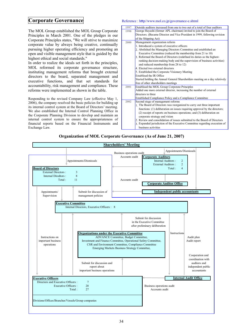The MOL Group established the MOL Group Corporate Principles in March 2001. One of the pledges in our Corporate Principles states, "We will strive to maximize corporate value by always being creative, continually pursuing higher operating efficiency and promoting an open and visible management style that is guided by the highest ethical and social standards."

In order to realize the ideals set forth in the principles, MOL reformed its corporate governance structure, instituting management reforms that brought external directors to the board, separated management and executive functions, and that set standards for accountability, risk management and compliance. These reforms were implemented as shown in the table.

Responding to the revised Company Law (effective May 1, 2006), the company resolved the basic policies for building up its internal control system at the Board of Directors' meeting. We also established the Internal Control Planning Office in the Corporate Planning Division to develop and maintain an internal control system to ensure the appropriateness of financial reports based on the Financial Instruments and Exchange Law.

#### **Corporate Governance** Reference : http//www.mol.co.jp/governance-e.shtml

| 1997 | Outside auditors increased from one to two out of a total of four auditors  |
|------|-----------------------------------------------------------------------------|
| 1998 | George Hayashi (former APL chairman) invited to join the Board of           |
|      | Directors. (Became Director and Vice President in 1999, following revision  |
|      | of the Shipping Act)                                                        |
| 2000 | Management organization reform                                              |
|      | 1. Introduced a system of executive officers                                |
|      | 2. Abolished the Managing Directors Committee and established an            |
|      | Executive Committee (reduced the membership from 21 to 10)                  |
|      | 3. Reformed the Board of Directors (redefined its duties as the highest-    |
|      | ranking decision-making body and the supervision of business activities)    |
|      | and reduced membership from 28 to 12)                                       |
|      | 4. Elected two external directors                                           |
|      | 5. Established the Corporate Visionary Meeting                              |
|      | Establised the IR Office                                                    |
|      | Started holding the Annual General Shareholders meeting on a day relatively |
|      | free of other shareholders meetings                                         |
| 2001 | Establised the MOL Group Corporate Principles                               |
|      | Added one more external director, increasing the number of external         |
|      | directors to three                                                          |
|      | Established Compliance Policy and a Compliance Committee                    |
| 2002 | Second stage of management reforms                                          |
|      | 1. The Board of Directors was reorganized to carry out three important      |
|      | functions: (1) deliberation on issues requiring approval by the directors;  |
|      | (2) receipt of reports on business operations; and (3) deliberation on      |
|      | corporate strategy and vision                                               |
|      | 2. Review and consolidation of issues submitted to the Board of Directors   |
|      | 3. Expanded jurisdiction of the Executive Committee regarding execution of  |
|      | business activities                                                         |

**Organization of MOL Corporate Governance (As of June 21, 2007)**

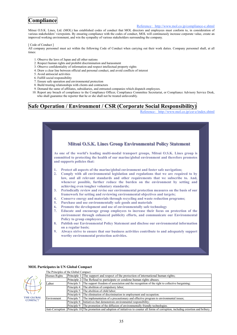## **Compliance**

#### Reference: http://www.mol.co.jp/compliance-e.shtml

Mitsui O.S.K. Lines, Ltd. (MOL) has established codes of conduct that MOL directors and employees must conform to, in consideration of various stakeholders<sup>'</sup> viewpoints. By ensuring compliance with the codes of conduct, MOL will continuously increase corporate value, create an improved working environment, and win the sympathy of various stakeholders surrounding the company.

[ Code of Conduct ]

All company personnel must act within the following Code of Conduct when carrying out their work duties. Company personnel shall, at all times:

- 1. Observe the laws of Japan and all other nations
- 2. Respect human rights and prohibit discrimination and harassment
- 3. Observe confidentiality of information and respect intellectual property rights
- 4. Draw a clear line between official and personal conduct, and avoid conflicts of interest
- 5. Avoid antisocial activities
- 6. Fulfill social responsibility
- 7. Ensure safe operation and environmental protection
- 8. Build trusting relationships with clients and contractors
- 9. Demand the same of affiliates, subsidiaries, and entrusted companies which dispatch employees.
- 10. Report any breach of compliance to the Compliance Officer, Compliance Committee Secretariat, or Compliance Advisory Service Desk, who shall guarantee the reporter that he or she shall not be treated unfavorably.

## **Safe Operation / Environment / CSR (Corporate Social Responsibility)**

Reference: http://www.mol.co.jp/csr-e/index.shtml



#### **MOL Participates in UN Global Compact**

| THE GLOBAL<br><b>COMPACT</b> |  |
|------------------------------|--|

| The Principles of the Global Compact |                                                                                                                                              |  |  |  |  |  |  |
|--------------------------------------|----------------------------------------------------------------------------------------------------------------------------------------------|--|--|--|--|--|--|
| Human Rights                         | Principle 1: The support and respect of the protection of international human rights;                                                        |  |  |  |  |  |  |
|                                      | Principle 2: The Refusal to participate or condone human rights abuses.                                                                      |  |  |  |  |  |  |
| Labor                                | Principle 3: The support freedom of association and the recognition of the right to collective bargaining;                                   |  |  |  |  |  |  |
|                                      | Principle 4: The abolition of compulsory labor;                                                                                              |  |  |  |  |  |  |
|                                      | Principle 5: The abolition of child labor:                                                                                                   |  |  |  |  |  |  |
|                                      | Principle 6: The elimination of discrimination in employment and occupation.                                                                 |  |  |  |  |  |  |
| Environment                          | Principle 7: The implementation of a precautionary and effective program to environmental issues;                                            |  |  |  |  |  |  |
|                                      | Principle 8: Initiatives that demonstrate environmental responsibility;                                                                      |  |  |  |  |  |  |
|                                      | Principle 9: The promotion of the diffusion of environmentally friendly technologies.                                                        |  |  |  |  |  |  |
|                                      | Anti-Corruption Principle 10. The promotion and adoption of initiatives to counter all forms of corruption, including extortion and bribery. |  |  |  |  |  |  |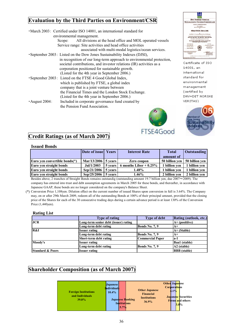## **Evaluation by the Third Parties on Environment/CSR**

|                      | • March 2003: Certified under ISO 14001, an international standard for<br>environmental management. |
|----------------------|-----------------------------------------------------------------------------------------------------|
|                      |                                                                                                     |
|                      | All divisions at the head office and MOL operated vessels<br>Scope:                                 |
|                      | Service range: Site activities and head office activities                                           |
|                      | associated with multi-modal logistics/ocean services.                                               |
|                      | • September 2003: Listed on the Dow Jones Sustainability Indexes (DJSI),                            |
|                      | in recognition of our long-term approach to environmental protection,                               |
|                      | societal contributions, and investor relations (IR) activities as a                                 |
|                      | corporation positioned for sustainable growth.                                                      |
|                      | (Listed for the 4th year in September 2006.)                                                        |
|                      | • September 2003: Listed on the FTSE 4 Good Global Index,                                           |
|                      | which is published by FTSE, a global index                                                          |
|                      | company that is a joint venture between                                                             |
|                      | the Financial Times and the London Stock Exchange.                                                  |
|                      | (Listed for the 4th year in September 2006.)                                                        |
| $\cdot$ August 2004: | Included in corporate governance fund created by                                                    |
|                      | the Pension Fund Association.                                                                       |
|                      | ж.                                                                                                  |





Certificate of ISO 14001, an international standard for environmental management (certified by DNV=DET NORSKE VERITAS)



## **Credit Ratings (as of March 2007)**

#### **Issued Bonds**

|                                  | Date of issue Years |          | <b>Interest Rate</b>     | <b>Total</b>   | <b>Outstanding</b> |
|----------------------------------|---------------------|----------|--------------------------|----------------|--------------------|
|                                  |                     |          |                          | amount of      |                    |
| Euro ven convertible bonds $(*)$ | Mar/13/2006 5 years |          | Zero coupon              | 50 billion ven | 50 billion ven     |
| Euro ven straight bonds          | Jul/1/2003          | 5 years  | 6 months Libor $+0.25\%$ | 1 billion ven  | 1 billion ven      |
| Euro ven straight bonds          | Sep/21/2006         | 5 years  | 1.48%                    | 1 billion ven  | 1 billion ven      |
| Euro ven straight bonds          | Sep/25/2006         | 5 years! | 1.46%                    | 2 billion ven  | 2 billion ven      |

Besides above, 2 tranches of Straight Bonds remains outstandig (outstanding amount 19.7 billion yen, due 2007~2009). The company has entered into trust and debt assumption agreements in March 2005 for these bonds, and thereafter, in accordance with Japanese GAAP, these bonds are no longer considered on the company's Balance Sheet.

(\*) Conversion Price 1,108yen. Dilution effect on the current number of issued Shares upon conversion in full is 3.64%. The Company may, on or after 29th March 2009, redeem all of the outstanding Bonds at 100% of their principal amount, provided that the closing price of the Shares for each of the 30 consecutive trading days during a certain advance period is at least 130% of the Conversion Price (1,440yen).

#### **Rating List**

|                             | <b>Type of rating</b>                 | <b>Type of debt</b>     | Rating (outlook, etc.)  |
|-----------------------------|---------------------------------------|-------------------------|-------------------------|
| <b>JCR</b>                  | Long-term senior debt (issuer) rating |                         | $A+$ (positiive)        |
|                             | Long-term debt rating                 | <b>Bonds No. 7, 9</b>   | $A+$                    |
| R&I                         | <b>Issuer rating</b>                  |                         | $A+$ (Stable)           |
|                             | Long-term debt rating                 | <b>Bonds No. 7, 9</b>   | $A+$                    |
|                             | Short-term debt rating                | <b>Commercial Paper</b> | la-1                    |
| Moody's                     | <b>Issuer rating</b>                  |                         | <b>Baa1</b> (stable)    |
|                             | Long-term debt rating                 | <b>Bonds No. 7, 9</b>   | A <sub>2</sub> (stable) |
| <b>Standard &amp; Poors</b> | <b>Issuer rating</b>                  |                         | <b>BBB</b> (stable)     |

## **Shareholder Composition (as of March 2007)**

| <b>Foreign Institutions</b><br>and Individuals<br>39.8% | <b>Japanese</b><br>Individuals<br>10.4%<br><b>Japanese Banking</b><br><b>Institutions</b><br>5.7% | <b>Other Japanese</b><br><b>Financial</b><br><b>Institutions</b><br>36.9% | <b>Other Japanese</b><br><b>Corporations</b><br>4.1%<br><b>Japanese Securities</b><br><b>Firms and others</b><br>$3.0\%$ |
|---------------------------------------------------------|---------------------------------------------------------------------------------------------------|---------------------------------------------------------------------------|--------------------------------------------------------------------------------------------------------------------------|
|---------------------------------------------------------|---------------------------------------------------------------------------------------------------|---------------------------------------------------------------------------|--------------------------------------------------------------------------------------------------------------------------|